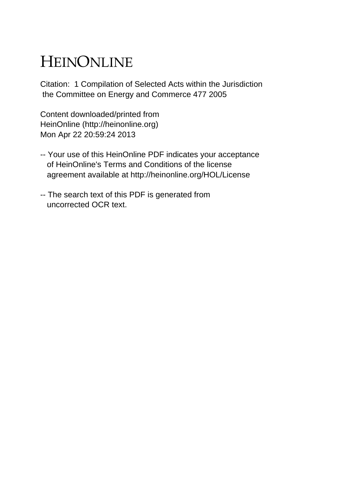# HEINONLINE

Citation: 1 Compilation of Selected Acts within the Jurisdiction the Committee on Energy and Commerce 477 2005

Content downloaded/printed from HeinOnline (http://heinonline.org) Mon Apr 22 20:59:24 2013

- -- Your use of this HeinOnline PDF indicates your acceptance of HeinOnline's Terms and Conditions of the license agreement available at http://heinonline.org/HOL/License
- -- The search text of this PDF is generated from uncorrected OCR text.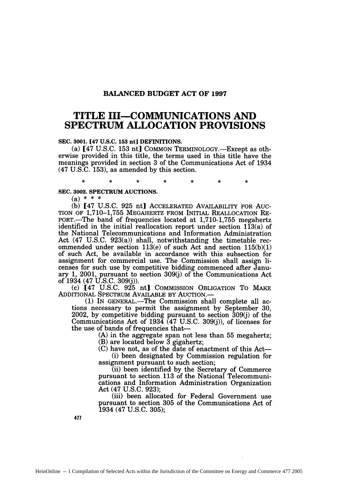### **BALANCED BUDGET ACT OF 1997**

# **TITLE III-COMMUNICATIONS AND SPECTRUM ALLOCATION PROVISIONS**

#### **SEC. 3001. [47 U.S.C. 153 nt] DEFINITIONS.**

(a) [47 **U.S.C. 153** nt] **COMMON** TERMINOLOGY.-Except as otherwise provided in this title, the terms used in this title have the meanings provided in section **3** of the Communications Act of 1934 (47 **U.S.C. 153),** as amended **by** this section.

 $\ast$ 

 $\star$ 

 $\star$ 

**SEC. 3002. SPECTRUM AUCTIONS.**

(a) **\* \* \***

sk.

(b) [47 U.S.C. 925 nt] ACCELERATED AVAILABILITY FOR Auc-TION OF 1,710-1,755 MEGAHERTZ FROM INITIAL REALLOCATION RE-PORT.-The band of frequencies located at 1,710-1,755 megahertz identified in the initial reallocation report under section 113(a) of the National Telecommunications and Information Administration Act (47 U.S.C. 923(a)) shall, notwithstanding the timetable recommended under section 113(e) of such Act and section 115(b)(1) of such Act, be available in accordance with this subsection for assignment for commercial use. The Commission shall assign licenses for such use by competitive bidding commenced after January 1, 2001, pursuant to section 309(j) of the Communications Act of 1934 (47 U.S.C. 309(j)).

(c) [47 U.S.C. 925 nt] COMMISSION OBLIGATION To MAKE ADDITIONAL SPECTRUM AVAILABLE BY AUCTION.-

 $(1)$  In GENERAL.—The Commission shall complete all actions necessary to permit the assignment by September 30, 2002, by competitive bidding pursuant to section 309(j) of the Communications Act of 1934 (47 U.S.C. 309(j)), of licenses for the use of bands of frequencies that-

> **(A)** in the aggregate span not less than 55 megahertz; (B) are located below 3 gigahertz;

 $(C)$  have not, as of the date of enactment of this Act-(i) been designated by Commission regulation for

assignment pursuant to such section; (ii) been identified by the Secretary of Commerce

pursuant to section 113 of the National Telecommunications and Information Administration Organization Act (47 U.S.C. 923);

(iii) been allocated for Federal Government use pursuant to section 305 of the Communications Act of 1934 (47 U.S.C. 305);

477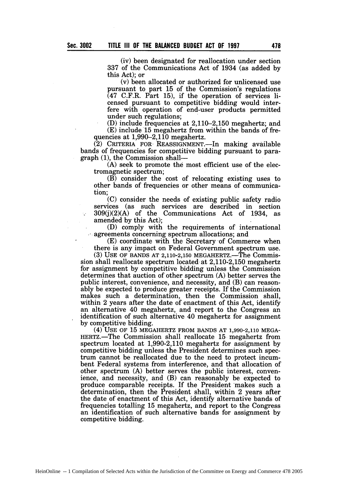(iv) been designated for reallocation under section 337 of the Communications Act of 1934 (as added by this Act); or

(v) been allocated or authorized for unlicensed use  $(47 \tC.F.R.$  Part 15), if the operation of services licensed pursuant to competitive bidding would interfere with operation of end-user products permitted under such regulations:

(D) include frequencies at  $2,110-2,150$  megahertz; and (E) include 15 megahertz from within the bands of frequencies at  $1,990-2,110$  megahertz.

 $(2)$  CRITERIA FOR REASSIGNMENT. In making available bands of frequencies for competitive bidding pursuant to para $graph (1)$ , the Commission shall--

(A) seek to promote the most efficient use of the electromagnetic spectrum;

(B) consider the cost of relocating existing uses to other bands of frequencies or other means of communication;

(C) consider the needs of existing public safety radio services (as such services are described in section 309(j)(2)(A) of the Communications Act of 1934, as amended by this Act);

(D) comply with the requirements of international agreements concerning spectrum allocations; and

(E) coordinate with the Secretary of Commerce when there is any impact on Federal Government spectrum use.

(3) USE OF BANDS AT 2,110-2,150 MEGAHERTZ.—The Commission shall reallocate spectrum located at 2,110-2,150 megahertz for assignment by competitive bidding unless the Commission determines that auction of other spectrum (A) better serves the public interest, convenience, and necessity, and (B) can reasonably be expected to produce greater receipts. If the Commission makes such a determination, then the Commission shall, within 2 years after the date of enactment of this Act, identify an alternative 40 megahertz, and report to the Congress an identification of such alternative 40 megahertz for assignment by competitive bidding.

(4) **USE** OF 15 MEGAHERTZ FROM **BANDS AT 1,990-2,110 MEGA-**HERTZ.-The Commission shall reallocate 15 megahertz from spectrum located at 1,990-2,110 megahertz for assignment by competitive bidding unless the President determines such spectrum cannot be reallocated due to the need to protect incumbent Federal systems from interference, and that allocation of other spectrum (A) better serves the public interest, convenience, and necessity, and (B) can reasonably be expected to produce comparable receipts. If the President makes such a determination, then the President shall, within 2 years after the date of enactment of this Act, identify alternative bands of frequencies totalling 15 megahertz, and report to the Congress an identification of such alternative bands for assignment by competitive bidding.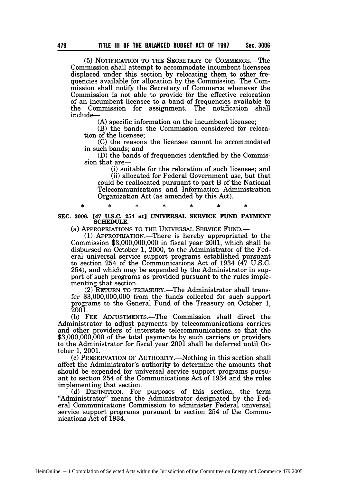**(5)** NOTIFICATION TO THE SECRETARY OF COMMERCE.-The Commission shall attempt to accommodate incumbent licensees displaced under this section by relocating them to other frequencies available for allocation by the Commission. The Commission shall notify the Secretary of Commerce whenever the Commission is not able to provide for the effective relocation of an incumbent licensee to a band of frequencies available to the Commission for assignment. The notification shall include-

(A) specific information on the incumbent licensee;

(B) the bands the Commission considered for relocation of the licensee;

(C) the reasons the licensee cannot be accommodated in such bands; and

(D) the bands of frequencies identified by the Commission that are-

(i) suitable for the relocation of such licensee; and (ii) allocated for Federal Government use, but that could be reallocated pursuant to part B of the National Telecommunications and Information Administration Organization Act (as amended by this Act).

**SEC. 3006.** [47 **U.S.C.** 254 **nt]** UNIVERSAL SERVICE **FUND** PAYMENT **SCHEDULE.**

(a) APPROPRIATIONS TO THE UNIVERSAL SERVICE FUND.-

**(1)** APPROPRIATION.-There is hereby appropriated to the Commission \$3,000,000,000 in fiscal year 2001, which shall be disbursed on October 1, 2000, to the Administrator of the Federal universal service support programs established pursuant to section 254 of the Communications Act of 1934 (47 U.S.C. 254), and which may be expended by the Administrator in support of such programs as provided pursuant to the rules implementing that section.

(2) RETURN TO TREASURY.—The Administrator shall transfer \$3,000,000,000 from the funds collected for such support programs to the General Fund of the Treasury on October 1, 2001.

**(b)** FEE ADJUSTMENTS.-The Commission shall direct the Administrator to adjust payments by telecommunications carriers and other providers of interstate telecommunications so that the \$3,000,000,000 of the total payments by such carriers or providers to the Administrator for fiscal year 2001 shall be deferred until October 1, 2001.

**(c)** PRESERVATION OF AUTHORITY.-Nothing in this section shall affect the Administrator's authority to determine the amounts that should be expended for universal service support programs pursuant to section 254 of the Communications Act of 1934 and the rules implementing that section.

(d) DEFINITION.-For purposes of this section, the term "Administrator" means the Administrator designated by the Federal Communications Commission to administer Federal universal service support programs pursuant to section 254 of the Communications Act of 1934.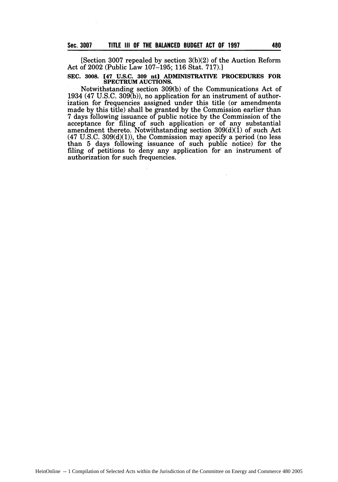[Section **3007** repealed by section 3(b)(2) of the Auction Reform Act of 2002 (Public Law 107-195; 116 Stat. 717).]

# **SEC. 3008. [47 U.S.C. 309 ntj ADMINISTRATIVE PROCEDURES FOR SPECTRUM AUCTIONS.**

Notwithstanding section **309(b)** of the Communications Act of 1934 (47 **U.S.C. 309(b)),** no application for an instrument of authorization for frequencies assigned under this title (or amendments made **by** this title) shall be granted **by** the Commission earlier than **7** days following issuance of public notice **by** the Commission of the acceptance for filing of such application or of any substantial amendment thereto. Notwithstanding section **309(d)(1)** of such Act (47 **U.S.C. 309(d)(1)),** the Commission may specify a period (no less than 5 days following issuance of such public notice) for the filing of petitions to deny any application for an instrument of authorization for such frequencies.

 $\sim$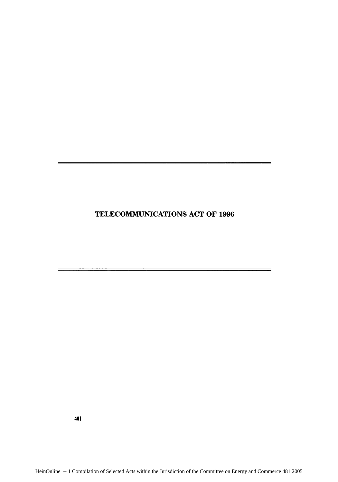## **TELECOMMUNICATIONS ACT** OF **1996**

 $=$ 

 $=$ 

481